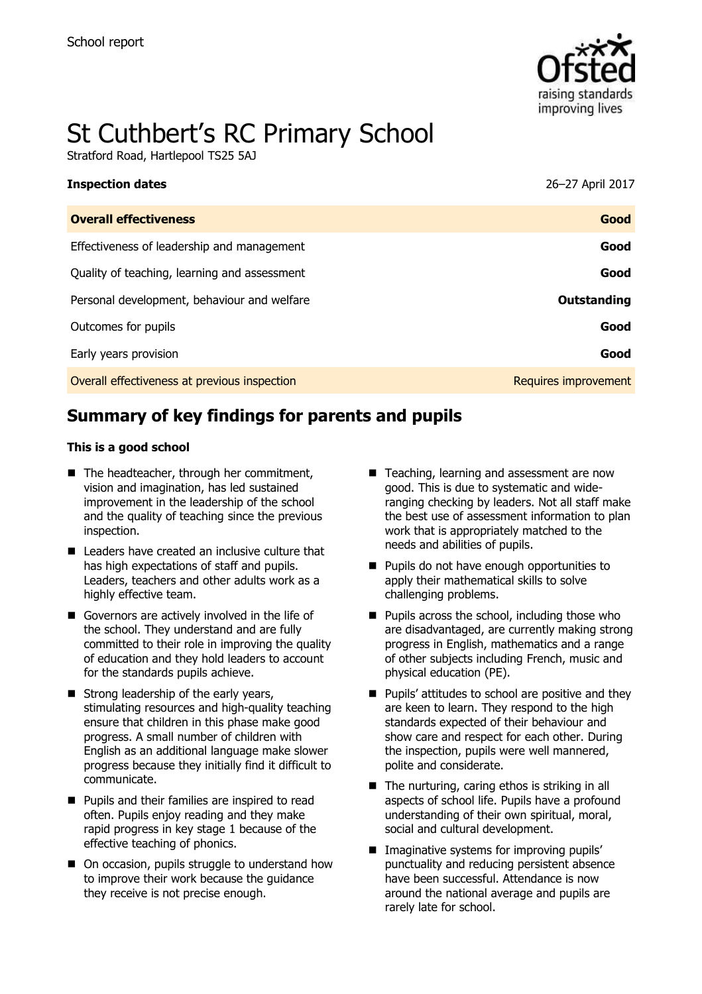

# St Cuthbert's RC Primary School

Stratford Road, Hartlepool TS25 5AJ

| <b>Inspection dates</b>                      | 26-27 April 2017     |
|----------------------------------------------|----------------------|
| <b>Overall effectiveness</b>                 | Good                 |
| Effectiveness of leadership and management   | Good                 |
| Quality of teaching, learning and assessment | Good                 |
| Personal development, behaviour and welfare  | Outstanding          |
| Outcomes for pupils                          | Good                 |
| Early years provision                        | Good                 |
| Overall effectiveness at previous inspection | Requires improvement |

# **Summary of key findings for parents and pupils**

#### **This is a good school**

- The headteacher, through her commitment, vision and imagination, has led sustained improvement in the leadership of the school and the quality of teaching since the previous inspection.
- Leaders have created an inclusive culture that has high expectations of staff and pupils. Leaders, teachers and other adults work as a highly effective team.
- Governors are actively involved in the life of the school. They understand and are fully committed to their role in improving the quality of education and they hold leaders to account for the standards pupils achieve.
- $\blacksquare$  Strong leadership of the early years, stimulating resources and high-quality teaching ensure that children in this phase make good progress. A small number of children with English as an additional language make slower progress because they initially find it difficult to communicate.
- **Pupils and their families are inspired to read** often. Pupils enjoy reading and they make rapid progress in key stage 1 because of the effective teaching of phonics.
- On occasion, pupils struggle to understand how to improve their work because the guidance they receive is not precise enough.
- Teaching, learning and assessment are now good. This is due to systematic and wideranging checking by leaders. Not all staff make the best use of assessment information to plan work that is appropriately matched to the needs and abilities of pupils.
- **Pupils do not have enough opportunities to** apply their mathematical skills to solve challenging problems.
- $\blacksquare$  Pupils across the school, including those who are disadvantaged, are currently making strong progress in English, mathematics and a range of other subjects including French, music and physical education (PE).
- **Pupils' attitudes to school are positive and they** are keen to learn. They respond to the high standards expected of their behaviour and show care and respect for each other. During the inspection, pupils were well mannered, polite and considerate.
- $\blacksquare$  The nurturing, caring ethos is striking in all aspects of school life. Pupils have a profound understanding of their own spiritual, moral, social and cultural development.
- **Imaginative systems for improving pupils'** punctuality and reducing persistent absence have been successful. Attendance is now around the national average and pupils are rarely late for school.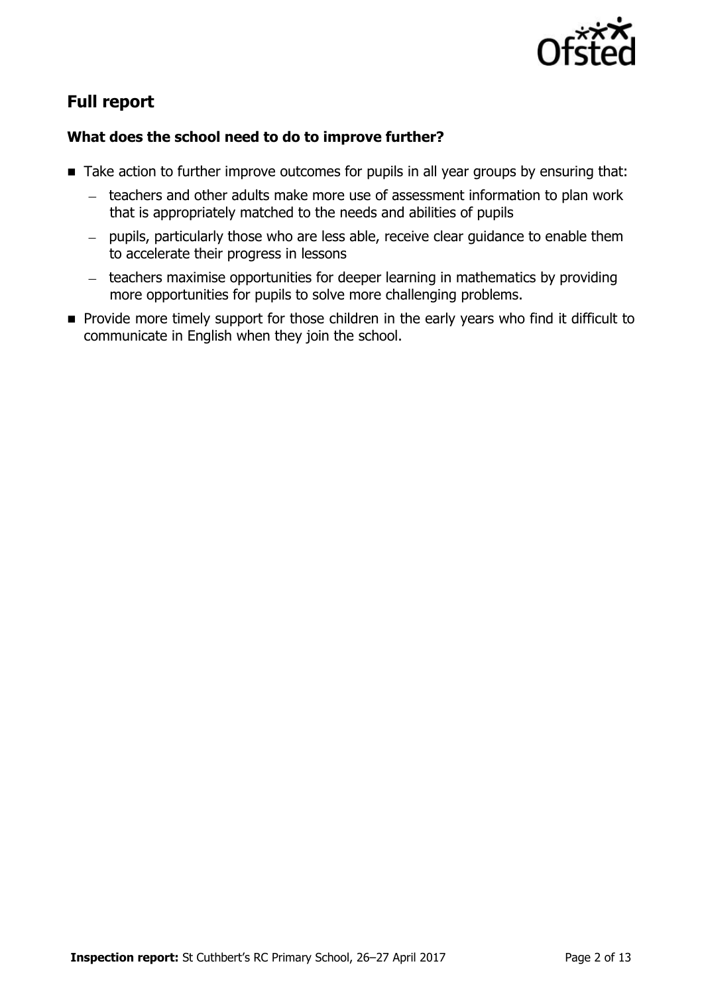

# **Full report**

#### **What does the school need to do to improve further?**

- Take action to further improve outcomes for pupils in all year groups by ensuring that:
	- teachers and other adults make more use of assessment information to plan work that is appropriately matched to the needs and abilities of pupils
	- pupils, particularly those who are less able, receive clear guidance to enable them to accelerate their progress in lessons
	- teachers maximise opportunities for deeper learning in mathematics by providing more opportunities for pupils to solve more challenging problems.
- **Provide more timely support for those children in the early years who find it difficult to** communicate in English when they join the school.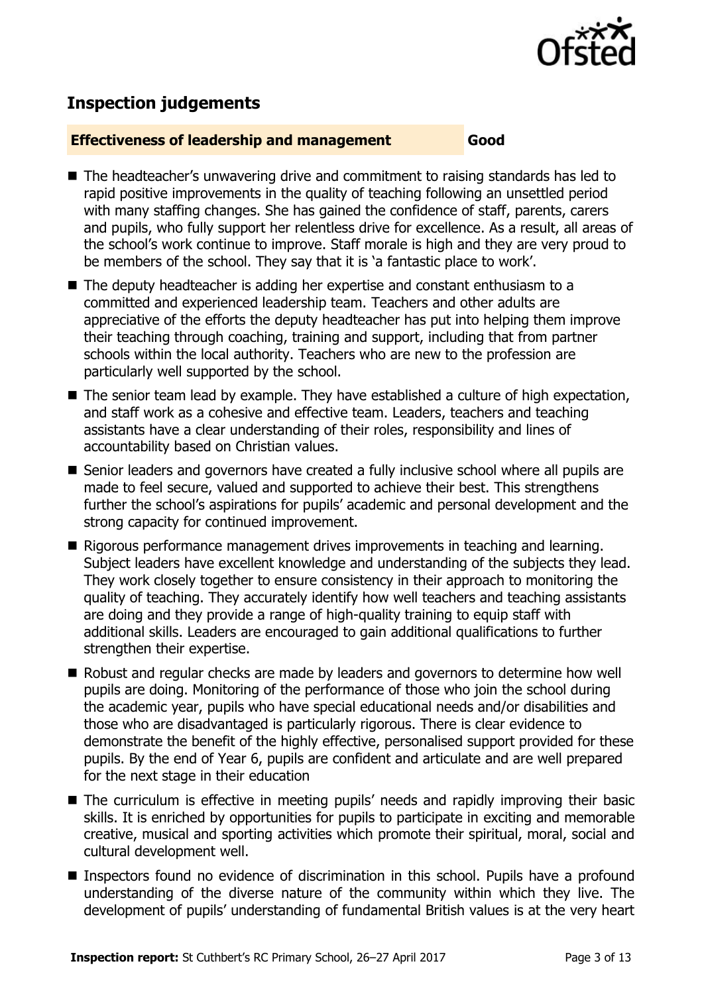

# **Inspection judgements**

#### **Effectiveness of leadership and management Good**

- The headteacher's unwavering drive and commitment to raising standards has led to rapid positive improvements in the quality of teaching following an unsettled period with many staffing changes. She has gained the confidence of staff, parents, carers and pupils, who fully support her relentless drive for excellence. As a result, all areas of the school's work continue to improve. Staff morale is high and they are very proud to be members of the school. They say that it is 'a fantastic place to work'.
- The deputy headteacher is adding her expertise and constant enthusiasm to a committed and experienced leadership team. Teachers and other adults are appreciative of the efforts the deputy headteacher has put into helping them improve their teaching through coaching, training and support, including that from partner schools within the local authority. Teachers who are new to the profession are particularly well supported by the school.
- The senior team lead by example. They have established a culture of high expectation, and staff work as a cohesive and effective team. Leaders, teachers and teaching assistants have a clear understanding of their roles, responsibility and lines of accountability based on Christian values.
- Senior leaders and governors have created a fully inclusive school where all pupils are made to feel secure, valued and supported to achieve their best. This strengthens further the school's aspirations for pupils' academic and personal development and the strong capacity for continued improvement.
- Rigorous performance management drives improvements in teaching and learning. Subject leaders have excellent knowledge and understanding of the subjects they lead. They work closely together to ensure consistency in their approach to monitoring the quality of teaching. They accurately identify how well teachers and teaching assistants are doing and they provide a range of high-quality training to equip staff with additional skills. Leaders are encouraged to gain additional qualifications to further strengthen their expertise.
- Robust and regular checks are made by leaders and governors to determine how well pupils are doing. Monitoring of the performance of those who join the school during the academic year, pupils who have special educational needs and/or disabilities and those who are disadvantaged is particularly rigorous. There is clear evidence to demonstrate the benefit of the highly effective, personalised support provided for these pupils. By the end of Year 6, pupils are confident and articulate and are well prepared for the next stage in their education
- The curriculum is effective in meeting pupils' needs and rapidly improving their basic skills. It is enriched by opportunities for pupils to participate in exciting and memorable creative, musical and sporting activities which promote their spiritual, moral, social and cultural development well.
- Inspectors found no evidence of discrimination in this school. Pupils have a profound understanding of the diverse nature of the community within which they live. The development of pupils' understanding of fundamental British values is at the very heart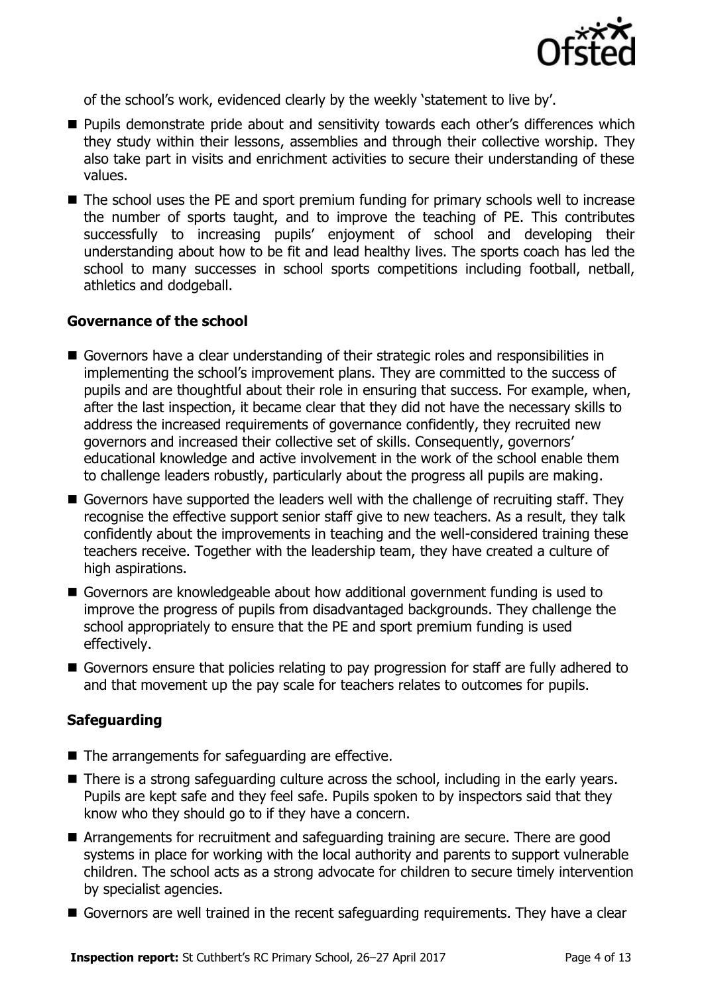

of the school's work, evidenced clearly by the weekly 'statement to live by'.

- **Pupils demonstrate pride about and sensitivity towards each other's differences which** they study within their lessons, assemblies and through their collective worship. They also take part in visits and enrichment activities to secure their understanding of these values.
- The school uses the PE and sport premium funding for primary schools well to increase the number of sports taught, and to improve the teaching of PE. This contributes successfully to increasing pupils' enjoyment of school and developing their understanding about how to be fit and lead healthy lives. The sports coach has led the school to many successes in school sports competitions including football, netball, athletics and dodgeball.

#### **Governance of the school**

- Governors have a clear understanding of their strategic roles and responsibilities in implementing the school's improvement plans. They are committed to the success of pupils and are thoughtful about their role in ensuring that success. For example, when, after the last inspection, it became clear that they did not have the necessary skills to address the increased requirements of governance confidently, they recruited new governors and increased their collective set of skills. Consequently, governors' educational knowledge and active involvement in the work of the school enable them to challenge leaders robustly, particularly about the progress all pupils are making.
- Governors have supported the leaders well with the challenge of recruiting staff. They recognise the effective support senior staff give to new teachers. As a result, they talk confidently about the improvements in teaching and the well-considered training these teachers receive. Together with the leadership team, they have created a culture of high aspirations.
- Governors are knowledgeable about how additional government funding is used to improve the progress of pupils from disadvantaged backgrounds. They challenge the school appropriately to ensure that the PE and sport premium funding is used effectively.
- Governors ensure that policies relating to pay progression for staff are fully adhered to and that movement up the pay scale for teachers relates to outcomes for pupils.

#### **Safeguarding**

- The arrangements for safeguarding are effective.
- There is a strong safeguarding culture across the school, including in the early years. Pupils are kept safe and they feel safe. Pupils spoken to by inspectors said that they know who they should go to if they have a concern.
- Arrangements for recruitment and safeguarding training are secure. There are good systems in place for working with the local authority and parents to support vulnerable children. The school acts as a strong advocate for children to secure timely intervention by specialist agencies.
- Governors are well trained in the recent safeguarding requirements. They have a clear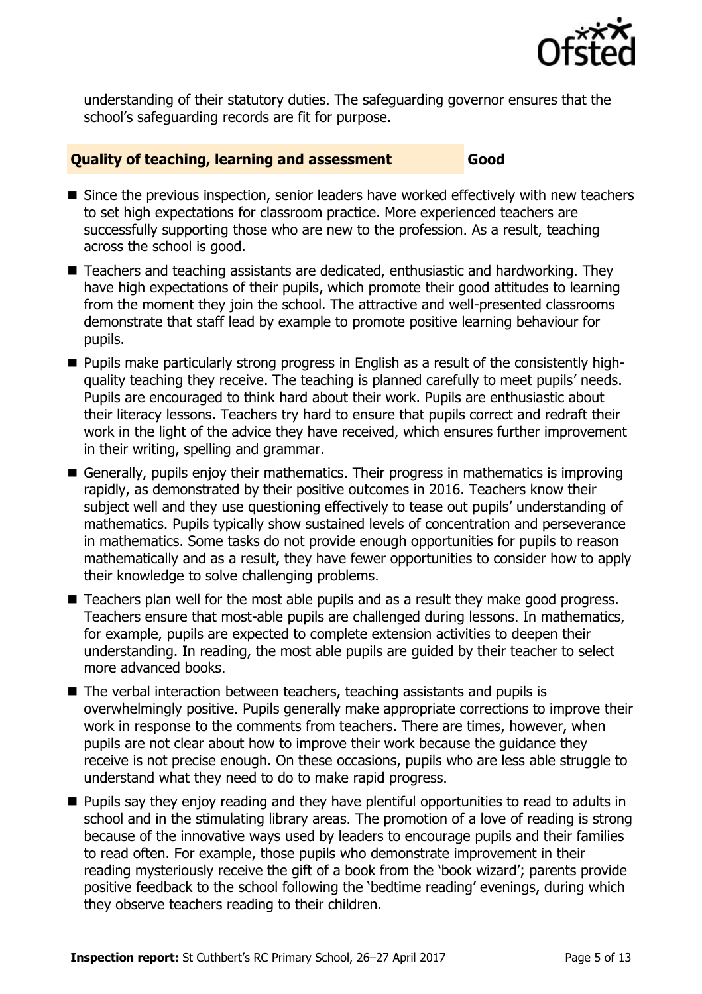

understanding of their statutory duties. The safeguarding governor ensures that the school's safeguarding records are fit for purpose.

#### **Quality of teaching, learning and assessment Good**

- Since the previous inspection, senior leaders have worked effectively with new teachers to set high expectations for classroom practice. More experienced teachers are successfully supporting those who are new to the profession. As a result, teaching across the school is good.
- Teachers and teaching assistants are dedicated, enthusiastic and hardworking. They have high expectations of their pupils, which promote their good attitudes to learning from the moment they join the school. The attractive and well-presented classrooms demonstrate that staff lead by example to promote positive learning behaviour for pupils.
- Pupils make particularly strong progress in English as a result of the consistently highquality teaching they receive. The teaching is planned carefully to meet pupils' needs. Pupils are encouraged to think hard about their work. Pupils are enthusiastic about their literacy lessons. Teachers try hard to ensure that pupils correct and redraft their work in the light of the advice they have received, which ensures further improvement in their writing, spelling and grammar.
- Generally, pupils enjoy their mathematics. Their progress in mathematics is improving rapidly, as demonstrated by their positive outcomes in 2016. Teachers know their subject well and they use questioning effectively to tease out pupils' understanding of mathematics. Pupils typically show sustained levels of concentration and perseverance in mathematics. Some tasks do not provide enough opportunities for pupils to reason mathematically and as a result, they have fewer opportunities to consider how to apply their knowledge to solve challenging problems.
- Teachers plan well for the most able pupils and as a result they make good progress. Teachers ensure that most-able pupils are challenged during lessons. In mathematics, for example, pupils are expected to complete extension activities to deepen their understanding. In reading, the most able pupils are guided by their teacher to select more advanced books.
- The verbal interaction between teachers, teaching assistants and pupils is overwhelmingly positive. Pupils generally make appropriate corrections to improve their work in response to the comments from teachers. There are times, however, when pupils are not clear about how to improve their work because the guidance they receive is not precise enough. On these occasions, pupils who are less able struggle to understand what they need to do to make rapid progress.
- **Pupils say they enjoy reading and they have plentiful opportunities to read to adults in** school and in the stimulating library areas. The promotion of a love of reading is strong because of the innovative ways used by leaders to encourage pupils and their families to read often. For example, those pupils who demonstrate improvement in their reading mysteriously receive the gift of a book from the 'book wizard'; parents provide positive feedback to the school following the 'bedtime reading' evenings, during which they observe teachers reading to their children.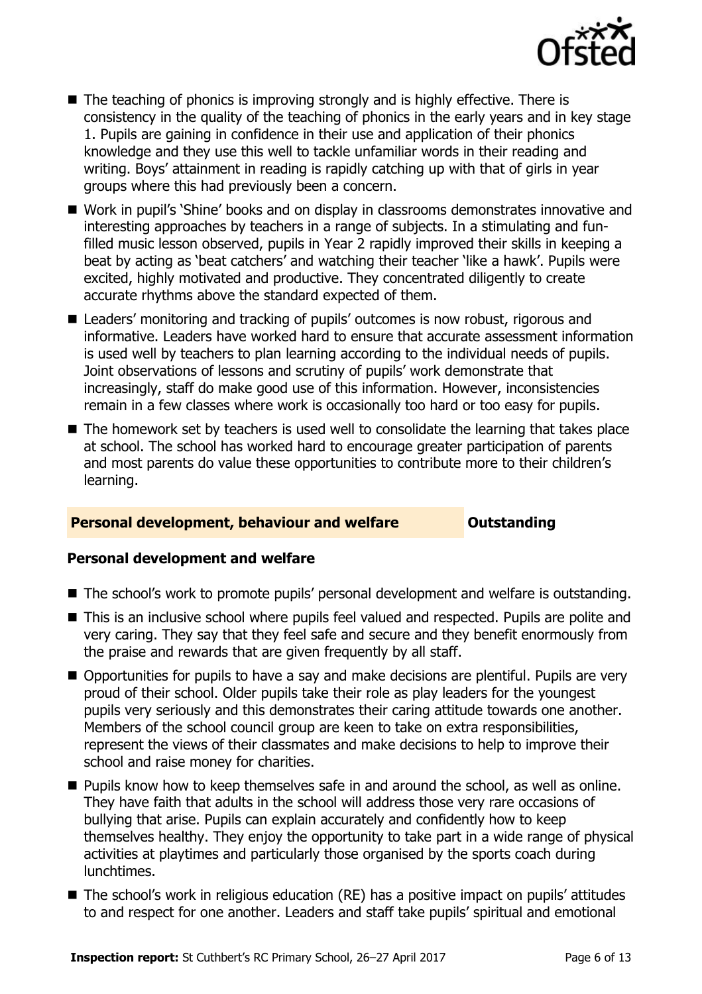

- $\blacksquare$  The teaching of phonics is improving strongly and is highly effective. There is consistency in the quality of the teaching of phonics in the early years and in key stage 1. Pupils are gaining in confidence in their use and application of their phonics knowledge and they use this well to tackle unfamiliar words in their reading and writing. Boys' attainment in reading is rapidly catching up with that of girls in year groups where this had previously been a concern.
- Work in pupil's 'Shine' books and on display in classrooms demonstrates innovative and interesting approaches by teachers in a range of subjects. In a stimulating and funfilled music lesson observed, pupils in Year 2 rapidly improved their skills in keeping a beat by acting as 'beat catchers' and watching their teacher 'like a hawk'. Pupils were excited, highly motivated and productive. They concentrated diligently to create accurate rhythms above the standard expected of them.
- Leaders' monitoring and tracking of pupils' outcomes is now robust, rigorous and informative. Leaders have worked hard to ensure that accurate assessment information is used well by teachers to plan learning according to the individual needs of pupils. Joint observations of lessons and scrutiny of pupils' work demonstrate that increasingly, staff do make good use of this information. However, inconsistencies remain in a few classes where work is occasionally too hard or too easy for pupils.
- The homework set by teachers is used well to consolidate the learning that takes place at school. The school has worked hard to encourage greater participation of parents and most parents do value these opportunities to contribute more to their children's learning.

#### **Personal development, behaviour and welfare <b>COUTS** Outstanding

#### **Personal development and welfare**

- The school's work to promote pupils' personal development and welfare is outstanding.
- This is an inclusive school where pupils feel valued and respected. Pupils are polite and very caring. They say that they feel safe and secure and they benefit enormously from the praise and rewards that are given frequently by all staff.
- Opportunities for pupils to have a say and make decisions are plentiful. Pupils are very proud of their school. Older pupils take their role as play leaders for the youngest pupils very seriously and this demonstrates their caring attitude towards one another. Members of the school council group are keen to take on extra responsibilities, represent the views of their classmates and make decisions to help to improve their school and raise money for charities.
- **Pupils know how to keep themselves safe in and around the school, as well as online.** They have faith that adults in the school will address those very rare occasions of bullying that arise. Pupils can explain accurately and confidently how to keep themselves healthy. They enjoy the opportunity to take part in a wide range of physical activities at playtimes and particularly those organised by the sports coach during lunchtimes.
- The school's work in religious education (RE) has a positive impact on pupils' attitudes to and respect for one another. Leaders and staff take pupils' spiritual and emotional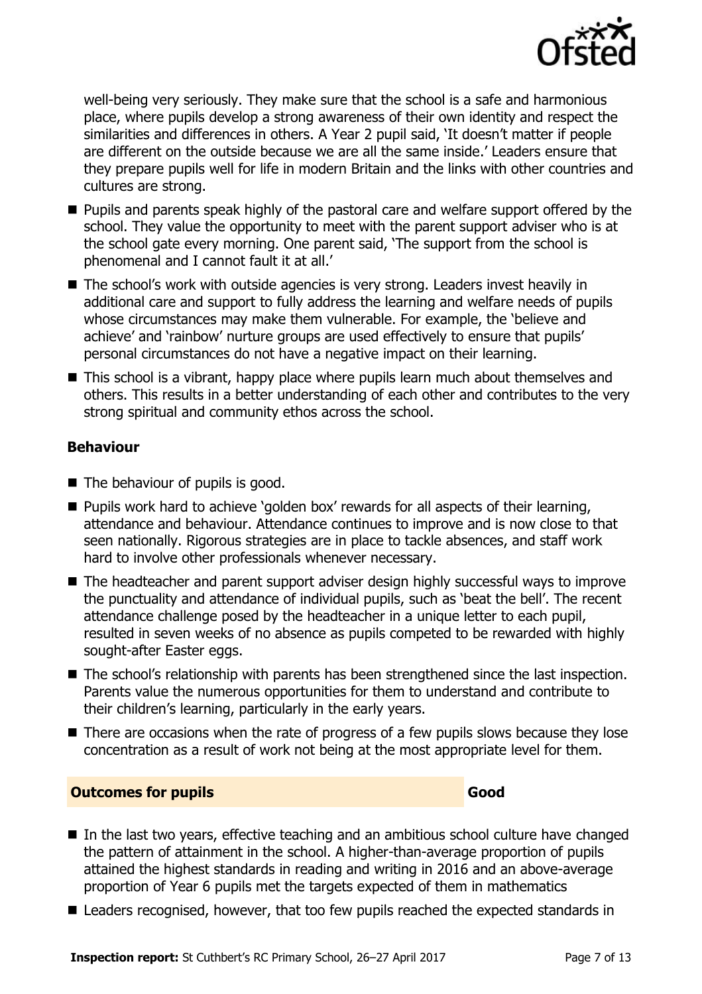

well-being very seriously. They make sure that the school is a safe and harmonious place, where pupils develop a strong awareness of their own identity and respect the similarities and differences in others. A Year 2 pupil said, 'It doesn't matter if people are different on the outside because we are all the same inside.' Leaders ensure that they prepare pupils well for life in modern Britain and the links with other countries and cultures are strong.

- **Pupils and parents speak highly of the pastoral care and welfare support offered by the** school. They value the opportunity to meet with the parent support adviser who is at the school gate every morning. One parent said, 'The support from the school is phenomenal and I cannot fault it at all.'
- The school's work with outside agencies is very strong. Leaders invest heavily in additional care and support to fully address the learning and welfare needs of pupils whose circumstances may make them vulnerable. For example, the 'believe and achieve' and 'rainbow' nurture groups are used effectively to ensure that pupils' personal circumstances do not have a negative impact on their learning.
- This school is a vibrant, happy place where pupils learn much about themselves and others. This results in a better understanding of each other and contributes to the very strong spiritual and community ethos across the school.

#### **Behaviour**

- The behaviour of pupils is good.
- **Pupils work hard to achieve 'golden box' rewards for all aspects of their learning,** attendance and behaviour. Attendance continues to improve and is now close to that seen nationally. Rigorous strategies are in place to tackle absences, and staff work hard to involve other professionals whenever necessary.
- The headteacher and parent support adviser design highly successful ways to improve the punctuality and attendance of individual pupils, such as 'beat the bell'. The recent attendance challenge posed by the headteacher in a unique letter to each pupil, resulted in seven weeks of no absence as pupils competed to be rewarded with highly sought-after Easter eggs.
- The school's relationship with parents has been strengthened since the last inspection. Parents value the numerous opportunities for them to understand and contribute to their children's learning, particularly in the early years.
- There are occasions when the rate of progress of a few pupils slows because they lose concentration as a result of work not being at the most appropriate level for them.

### **Outcomes for pupils Good Good**

- In the last two years, effective teaching and an ambitious school culture have changed the pattern of attainment in the school. A higher-than-average proportion of pupils attained the highest standards in reading and writing in 2016 and an above-average proportion of Year 6 pupils met the targets expected of them in mathematics
- Leaders recognised, however, that too few pupils reached the expected standards in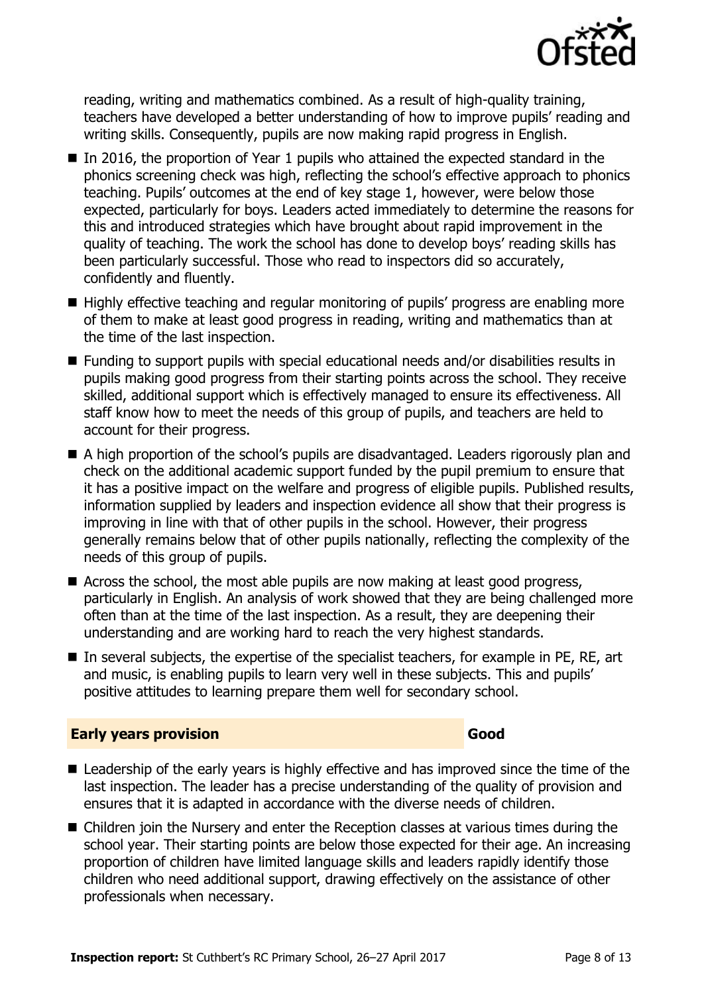

reading, writing and mathematics combined. As a result of high-quality training, teachers have developed a better understanding of how to improve pupils' reading and writing skills. Consequently, pupils are now making rapid progress in English.

- In 2016, the proportion of Year 1 pupils who attained the expected standard in the phonics screening check was high, reflecting the school's effective approach to phonics teaching. Pupils' outcomes at the end of key stage 1, however, were below those expected, particularly for boys. Leaders acted immediately to determine the reasons for this and introduced strategies which have brought about rapid improvement in the quality of teaching. The work the school has done to develop boys' reading skills has been particularly successful. Those who read to inspectors did so accurately, confidently and fluently.
- Highly effective teaching and regular monitoring of pupils' progress are enabling more of them to make at least good progress in reading, writing and mathematics than at the time of the last inspection.
- Funding to support pupils with special educational needs and/or disabilities results in pupils making good progress from their starting points across the school. They receive skilled, additional support which is effectively managed to ensure its effectiveness. All staff know how to meet the needs of this group of pupils, and teachers are held to account for their progress.
- A high proportion of the school's pupils are disadvantaged. Leaders rigorously plan and check on the additional academic support funded by the pupil premium to ensure that it has a positive impact on the welfare and progress of eligible pupils. Published results, information supplied by leaders and inspection evidence all show that their progress is improving in line with that of other pupils in the school. However, their progress generally remains below that of other pupils nationally, reflecting the complexity of the needs of this group of pupils.
- Across the school, the most able pupils are now making at least good progress, particularly in English. An analysis of work showed that they are being challenged more often than at the time of the last inspection. As a result, they are deepening their understanding and are working hard to reach the very highest standards.
- In several subjects, the expertise of the specialist teachers, for example in PE, RE, art and music, is enabling pupils to learn very well in these subjects. This and pupils' positive attitudes to learning prepare them well for secondary school.

#### **Early years provision Good Good**

- Leadership of the early years is highly effective and has improved since the time of the last inspection. The leader has a precise understanding of the quality of provision and ensures that it is adapted in accordance with the diverse needs of children.
- Children join the Nursery and enter the Reception classes at various times during the school year. Their starting points are below those expected for their age. An increasing proportion of children have limited language skills and leaders rapidly identify those children who need additional support, drawing effectively on the assistance of other professionals when necessary.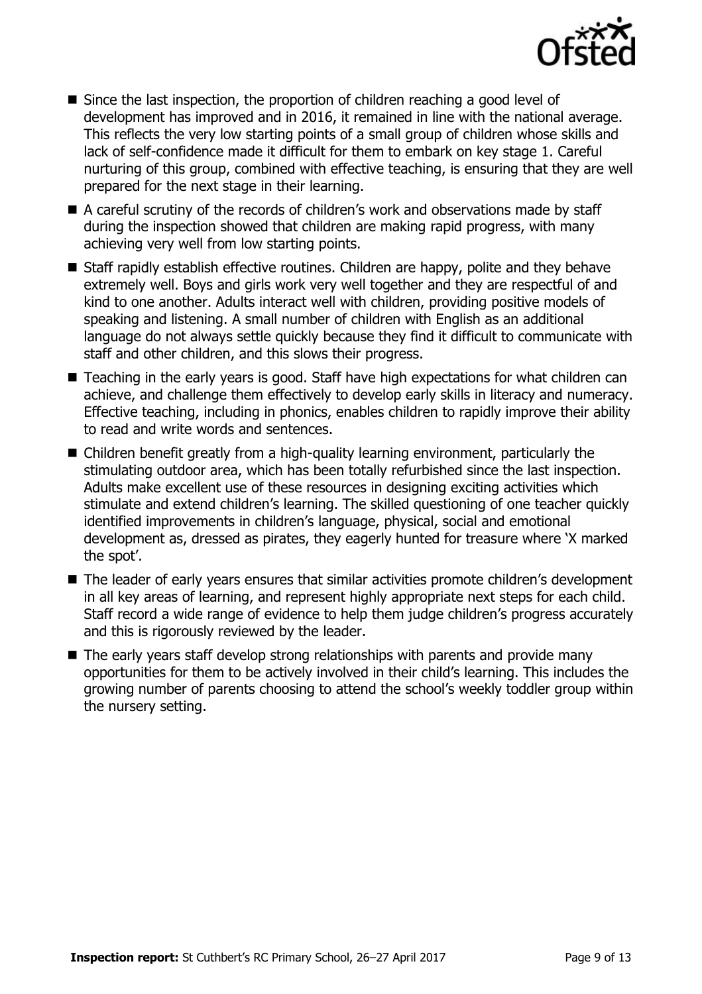

- Since the last inspection, the proportion of children reaching a good level of development has improved and in 2016, it remained in line with the national average. This reflects the very low starting points of a small group of children whose skills and lack of self-confidence made it difficult for them to embark on key stage 1. Careful nurturing of this group, combined with effective teaching, is ensuring that they are well prepared for the next stage in their learning.
- A careful scrutiny of the records of children's work and observations made by staff during the inspection showed that children are making rapid progress, with many achieving very well from low starting points.
- Staff rapidly establish effective routines. Children are happy, polite and they behave extremely well. Boys and girls work very well together and they are respectful of and kind to one another. Adults interact well with children, providing positive models of speaking and listening. A small number of children with English as an additional language do not always settle quickly because they find it difficult to communicate with staff and other children, and this slows their progress.
- Teaching in the early years is good. Staff have high expectations for what children can achieve, and challenge them effectively to develop early skills in literacy and numeracy. Effective teaching, including in phonics, enables children to rapidly improve their ability to read and write words and sentences.
- Children benefit greatly from a high-quality learning environment, particularly the stimulating outdoor area, which has been totally refurbished since the last inspection. Adults make excellent use of these resources in designing exciting activities which stimulate and extend children's learning. The skilled questioning of one teacher quickly identified improvements in children's language, physical, social and emotional development as, dressed as pirates, they eagerly hunted for treasure where 'X marked the spot'.
- The leader of early years ensures that similar activities promote children's development in all key areas of learning, and represent highly appropriate next steps for each child. Staff record a wide range of evidence to help them judge children's progress accurately and this is rigorously reviewed by the leader.
- The early years staff develop strong relationships with parents and provide many opportunities for them to be actively involved in their child's learning. This includes the growing number of parents choosing to attend the school's weekly toddler group within the nursery setting.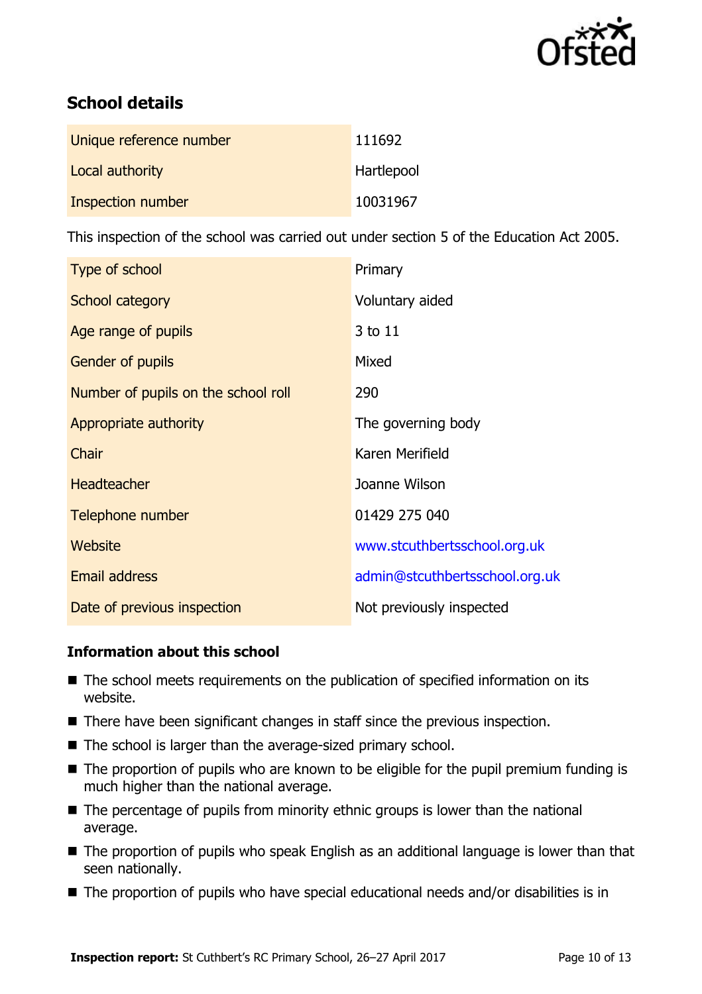

# **School details**

| Unique reference number | 111692     |
|-------------------------|------------|
| Local authority         | Hartlepool |
| Inspection number       | 10031967   |

This inspection of the school was carried out under section 5 of the Education Act 2005.

| Type of school                      | Primary                        |  |
|-------------------------------------|--------------------------------|--|
| School category                     | Voluntary aided                |  |
| Age range of pupils                 | 3 to 11                        |  |
| Gender of pupils                    | Mixed                          |  |
| Number of pupils on the school roll | 290                            |  |
| Appropriate authority               | The governing body             |  |
| Chair                               | Karen Merifield                |  |
| <b>Headteacher</b>                  | Joanne Wilson                  |  |
| Telephone number                    | 01429 275 040                  |  |
| <b>Website</b>                      | www.stcuthbertsschool.org.uk   |  |
| <b>Email address</b>                | admin@stcuthbertsschool.org.uk |  |
| Date of previous inspection         | Not previously inspected       |  |

#### **Information about this school**

- The school meets requirements on the publication of specified information on its website.
- There have been significant changes in staff since the previous inspection.
- The school is larger than the average-sized primary school.
- The proportion of pupils who are known to be eligible for the pupil premium funding is much higher than the national average.
- $\blacksquare$  The percentage of pupils from minority ethnic groups is lower than the national average.
- The proportion of pupils who speak English as an additional language is lower than that seen nationally.
- The proportion of pupils who have special educational needs and/or disabilities is in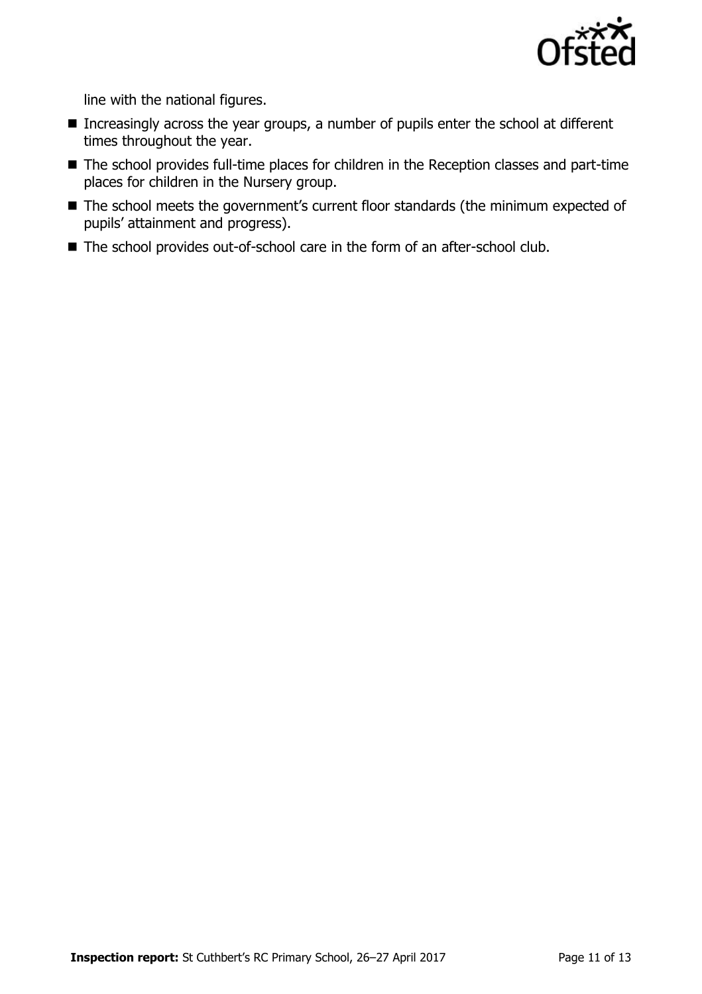

line with the national figures.

- Increasingly across the year groups, a number of pupils enter the school at different times throughout the year.
- The school provides full-time places for children in the Reception classes and part-time places for children in the Nursery group.
- The school meets the government's current floor standards (the minimum expected of pupils' attainment and progress).
- The school provides out-of-school care in the form of an after-school club.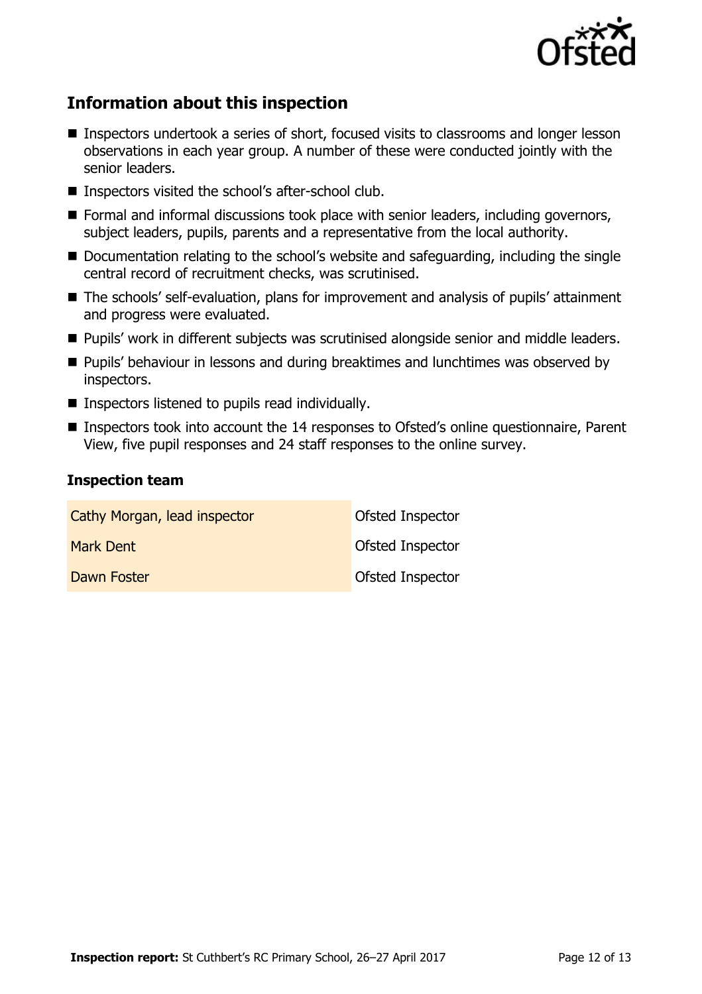

# **Information about this inspection**

- **Inspectors undertook a series of short, focused visits to classrooms and longer lesson** observations in each year group. A number of these were conducted jointly with the senior leaders.
- Inspectors visited the school's after-school club.
- Formal and informal discussions took place with senior leaders, including governors, subject leaders, pupils, parents and a representative from the local authority.
- Documentation relating to the school's website and safeguarding, including the single central record of recruitment checks, was scrutinised.
- The schools' self-evaluation, plans for improvement and analysis of pupils' attainment and progress were evaluated.
- Pupils' work in different subjects was scrutinised alongside senior and middle leaders.
- **Pupils' behaviour in lessons and during breaktimes and lunchtimes was observed by** inspectors.
- $\blacksquare$  Inspectors listened to pupils read individually.
- Inspectors took into account the 14 responses to Ofsted's online questionnaire, Parent View, five pupil responses and 24 staff responses to the online survey.

#### **Inspection team**

| Cathy Morgan, lead inspector | Ofsted Inspector |
|------------------------------|------------------|
| Mark Dent                    | Ofsted Inspector |
| Dawn Foster                  | Ofsted Inspector |